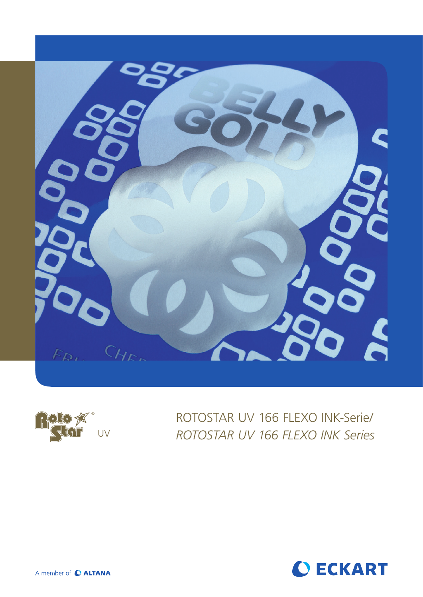



ROTOSTAR UV 166 FLEXO INK-Serie/ UV *ROTOSTAR UV 166 FLEXO INK Series*

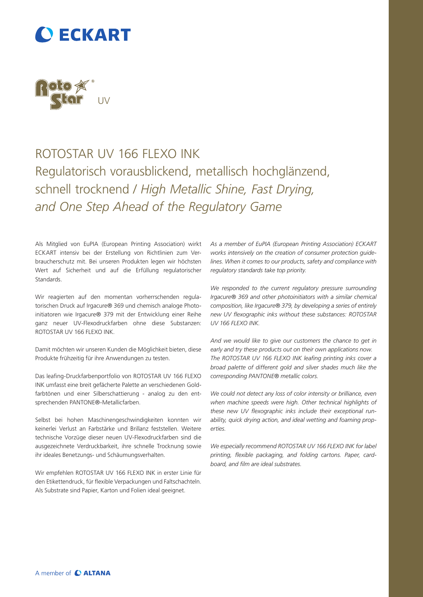## **O ECKART**



## ROTOSTAR UV 166 FLEXO INK Regulatorisch vorausblickend, metallisch hochglänzend, schnell trocknend / *High Metallic Shine, Fast Drying, and One Step Ahead of the Regulatory Game*

Als Mitglied von EuPIA (European Printing Association) wirkt ECKART intensiv bei der Erstellung von Richtlinien zum Verbraucherschutz mit. Bei unseren Produkten legen wir höchsten Wert auf Sicherheit und auf die Erfüllung regulatorischer **Standards** 

Wir reagierten auf den momentan vorherrschenden regulatorischen Druck auf Irgacure® 369 und chemisch analoge Photoinitiatoren wie Irgacure® 379 mit der Entwicklung einer Reihe ganz neuer UV-Flexodruckfarben ohne diese Substanzen: ROTOSTAR UV 166 FLEXO INK.

Damit möchten wir unseren Kunden die Möglichkeit bieten, diese Produkte frühzeitig für ihre Anwendungen zu testen.

Das leafing-Druckfarbenportfolio von ROTOSTAR UV 166 FLEXO INK umfasst eine breit gefächerte Palette an verschiedenen Goldfarbtönen und einer Silberschattierung - analog zu den entsprechenden PANTONE®-Metallicfarben.

Selbst bei hohen Maschinengeschwindigkeiten konnten wir keinerlei Verlust an Farbstärke und Brillanz feststellen. Weitere technische Vorzüge dieser neuen UV-Flexodruckfarben sind die ausgezeichnete Verdruckbarkeit, ihre schnelle Trocknung sowie ihr ideales Benetzungs- und Schäumungsverhalten.

Wir empfehlen ROTOSTAR UV 166 FLEXO INK in erster Linie für den Etikettendruck, für flexible Verpackungen und Faltschachteln. Als Substrate sind Papier, Karton und Folien ideal geeignet.

*As a member of EuPIA (European Printing Association) ECKART works intensively on the creation of consumer protection guidelines. When it comes to our products, safety and compliance with regulatory standards take top priority.* 

*We responded to the current regulatory pressure surrounding Irgacure® 369 and other photoinitiators with a similar chemical composition, like Irgacure® 379, by developing a series of entirely new UV flexographic inks without these substances: ROTOSTAR UV 166 FLEXO INK.* 

*And we would like to give our customers the chance to get in early and try these products out on their own applications now. The ROTOSTAR UV 166 FLEXO INK leafing printing inks cover a broad palette of different gold and silver shades much like the corresponding PANTONE® metallic colors.* 

*We could not detect any loss of color intensity or brilliance, even when machine speeds were high. Other technical highlights of these new UV flexographic inks include their exceptional runability, quick drying action, and ideal wetting and foaming properties.* 

*We especially recommend ROTOSTAR UV 166 FLEXO INK for label printing, flexible packaging, and folding cartons. Paper, cardboard, and film are ideal substrates.*